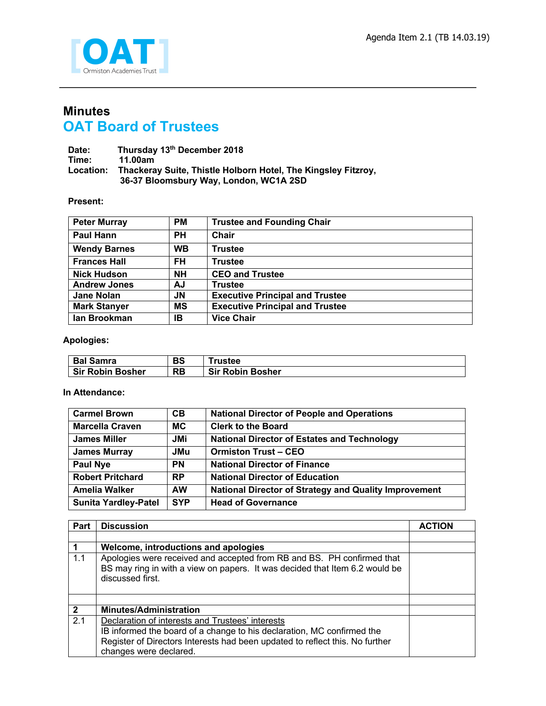

## **Minutes OAT Board of Trustees**

Date: Thursday 13<sup>th</sup> December 2018<br>Time: 11.00am **Time: 11.00am Location: Thackeray Suite, Thistle Holborn Hotel, The Kingsley Fitzroy, 36-37 Bloomsbury Way, London, WC1A 2SD**

## **Present:**

| <b>Peter Murray</b> | <b>PM</b> | <b>Trustee and Founding Chair</b>      |
|---------------------|-----------|----------------------------------------|
| <b>Paul Hann</b>    | <b>PH</b> | Chair                                  |
| <b>Wendy Barnes</b> | <b>WB</b> | <b>Trustee</b>                         |
| <b>Frances Hall</b> | <b>FH</b> | <b>Trustee</b>                         |
| <b>Nick Hudson</b>  | <b>NH</b> | <b>CEO and Trustee</b>                 |
| <b>Andrew Jones</b> | AJ        | <b>Trustee</b>                         |
| <b>Jane Nolan</b>   | JN        | <b>Executive Principal and Trustee</b> |
| <b>Mark Stanyer</b> | MS        | <b>Executive Principal and Trustee</b> |
| lan Brookman        | IB        | <b>Vice Chair</b>                      |

## **Apologies:**

| <b>Bal Samra</b>        | BS | <b>Trustee</b>          |
|-------------------------|----|-------------------------|
| <b>Sir Robin Bosher</b> | RB | <b>Sir Robin Bosher</b> |

## **In Attendance:**

| <b>Carmel Brown</b>         | CB         | <b>National Director of People and Operations</b>            |
|-----------------------------|------------|--------------------------------------------------------------|
| <b>Marcella Craven</b>      | <b>MC</b>  | <b>Clerk to the Board</b>                                    |
| <b>James Miller</b>         | <b>JMi</b> | <b>National Director of Estates and Technology</b>           |
| <b>James Murray</b>         | <b>JMu</b> | <b>Ormiston Trust - CEO</b>                                  |
| <b>Paul Nye</b>             | <b>PN</b>  | <b>National Director of Finance</b>                          |
| <b>Robert Pritchard</b>     | <b>RP</b>  | <b>National Director of Education</b>                        |
| <b>Amelia Walker</b>        | <b>AW</b>  | <b>National Director of Strategy and Quality Improvement</b> |
| <b>Sunita Yardley-Patel</b> | <b>SYP</b> | <b>Head of Governance</b>                                    |

| <b>Part</b>  | <b>Discussion</b>                                                                                                                                                                                                                    | <b>ACTION</b> |
|--------------|--------------------------------------------------------------------------------------------------------------------------------------------------------------------------------------------------------------------------------------|---------------|
|              |                                                                                                                                                                                                                                      |               |
|              | Welcome, introductions and apologies                                                                                                                                                                                                 |               |
| 1.1          | Apologies were received and accepted from RB and BS. PH confirmed that<br>BS may ring in with a view on papers. It was decided that Item 6.2 would be<br>discussed first.                                                            |               |
|              |                                                                                                                                                                                                                                      |               |
| $\mathbf{2}$ | <b>Minutes/Administration</b>                                                                                                                                                                                                        |               |
| 2.1          | Declaration of interests and Trustees' interests<br>IB informed the board of a change to his declaration, MC confirmed the<br>Register of Directors Interests had been updated to reflect this. No further<br>changes were declared. |               |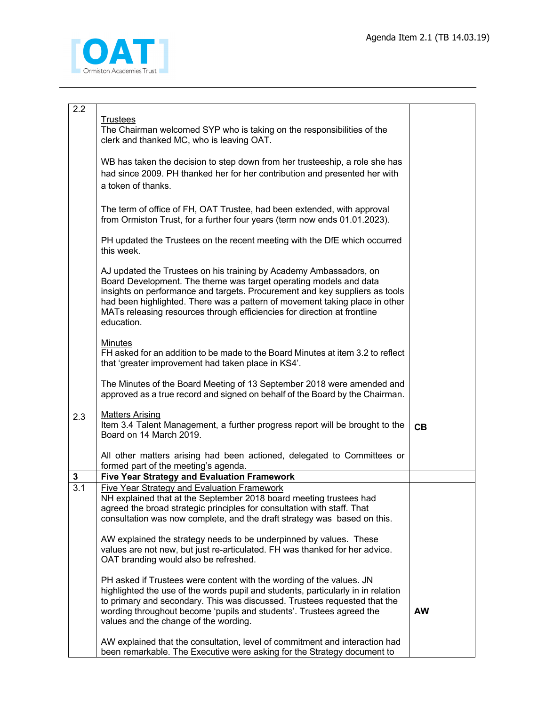

| 2.2              |                                                                                                                                                                                                                                                                                                                                                                                                 |           |
|------------------|-------------------------------------------------------------------------------------------------------------------------------------------------------------------------------------------------------------------------------------------------------------------------------------------------------------------------------------------------------------------------------------------------|-----------|
|                  | <b>Trustees</b><br>The Chairman welcomed SYP who is taking on the responsibilities of the<br>clerk and thanked MC, who is leaving OAT.                                                                                                                                                                                                                                                          |           |
|                  | WB has taken the decision to step down from her trusteeship, a role she has<br>had since 2009. PH thanked her for her contribution and presented her with<br>a token of thanks.                                                                                                                                                                                                                 |           |
|                  | The term of office of FH, OAT Trustee, had been extended, with approval<br>from Ormiston Trust, for a further four years (term now ends 01.01.2023).                                                                                                                                                                                                                                            |           |
|                  | PH updated the Trustees on the recent meeting with the DfE which occurred<br>this week.                                                                                                                                                                                                                                                                                                         |           |
|                  | AJ updated the Trustees on his training by Academy Ambassadors, on<br>Board Development. The theme was target operating models and data<br>insights on performance and targets. Procurement and key suppliers as tools<br>had been highlighted. There was a pattern of movement taking place in other<br>MATs releasing resources through efficiencies for direction at frontline<br>education. |           |
|                  | <b>Minutes</b><br>FH asked for an addition to be made to the Board Minutes at item 3.2 to reflect<br>that 'greater improvement had taken place in KS4'.                                                                                                                                                                                                                                         |           |
|                  | The Minutes of the Board Meeting of 13 September 2018 were amended and<br>approved as a true record and signed on behalf of the Board by the Chairman.                                                                                                                                                                                                                                          |           |
| 2.3              | <b>Matters Arising</b><br>Item 3.4 Talent Management, a further progress report will be brought to the<br>Board on 14 March 2019.                                                                                                                                                                                                                                                               | CB        |
|                  | All other matters arising had been actioned, delegated to Committees or<br>formed part of the meeting's agenda.                                                                                                                                                                                                                                                                                 |           |
| $\mathbf 3$      | <b>Five Year Strategy and Evaluation Framework</b>                                                                                                                                                                                                                                                                                                                                              |           |
| $\overline{3.1}$ | <b>Five Year Strategy and Evaluation Framework</b><br>NH explained that at the September 2018 board meeting trustees had<br>agreed the broad strategic principles for consultation with staff. That<br>consultation was now complete, and the draft strategy was based on this.                                                                                                                 |           |
|                  | AW explained the strategy needs to be underpinned by values. These<br>values are not new, but just re-articulated. FH was thanked for her advice.<br>OAT branding would also be refreshed.                                                                                                                                                                                                      |           |
|                  | PH asked if Trustees were content with the wording of the values. JN<br>highlighted the use of the words pupil and students, particularly in in relation<br>to primary and secondary. This was discussed. Trustees requested that the<br>wording throughout become 'pupils and students'. Trustees agreed the<br>values and the change of the wording.                                          | <b>AW</b> |
|                  | AW explained that the consultation, level of commitment and interaction had<br>been remarkable. The Executive were asking for the Strategy document to                                                                                                                                                                                                                                          |           |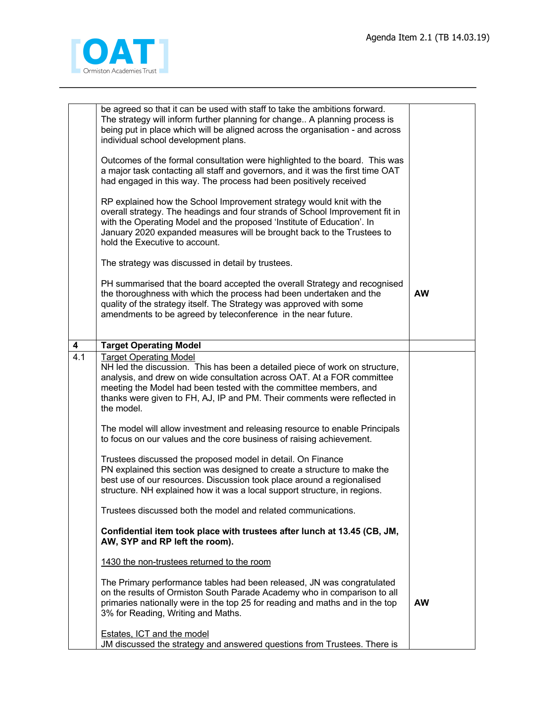

|                  | be agreed so that it can be used with staff to take the ambitions forward.<br>The strategy will inform further planning for change A planning process is<br>being put in place which will be aligned across the organisation - and across<br>individual school development plans.<br>Outcomes of the formal consultation were highlighted to the board. This was<br>a major task contacting all staff and governors, and it was the first time OAT<br>had engaged in this way. The process had been positively received<br>RP explained how the School Improvement strategy would knit with the<br>overall strategy. The headings and four strands of School Improvement fit in<br>with the Operating Model and the proposed 'Institute of Education'. In<br>January 2020 expanded measures will be brought back to the Trustees to<br>hold the Executive to account. |           |
|------------------|-----------------------------------------------------------------------------------------------------------------------------------------------------------------------------------------------------------------------------------------------------------------------------------------------------------------------------------------------------------------------------------------------------------------------------------------------------------------------------------------------------------------------------------------------------------------------------------------------------------------------------------------------------------------------------------------------------------------------------------------------------------------------------------------------------------------------------------------------------------------------|-----------|
|                  | The strategy was discussed in detail by trustees.                                                                                                                                                                                                                                                                                                                                                                                                                                                                                                                                                                                                                                                                                                                                                                                                                     |           |
|                  | PH summarised that the board accepted the overall Strategy and recognised<br>the thoroughness with which the process had been undertaken and the<br>quality of the strategy itself. The Strategy was approved with some<br>amendments to be agreed by teleconference in the near future.                                                                                                                                                                                                                                                                                                                                                                                                                                                                                                                                                                              | <b>AW</b> |
| 4                | <b>Target Operating Model</b>                                                                                                                                                                                                                                                                                                                                                                                                                                                                                                                                                                                                                                                                                                                                                                                                                                         |           |
| $\overline{4.1}$ | <b>Target Operating Model</b><br>NH led the discussion. This has been a detailed piece of work on structure,<br>analysis, and drew on wide consultation across OAT. At a FOR committee<br>meeting the Model had been tested with the committee members, and<br>thanks were given to FH, AJ, IP and PM. Their comments were reflected in<br>the model.                                                                                                                                                                                                                                                                                                                                                                                                                                                                                                                 |           |
|                  | The model will allow investment and releasing resource to enable Principals<br>to focus on our values and the core business of raising achievement.                                                                                                                                                                                                                                                                                                                                                                                                                                                                                                                                                                                                                                                                                                                   |           |
|                  | Trustees discussed the proposed model in detail. On Finance<br>PN explained this section was designed to create a structure to make the<br>best use of our resources. Discussion took place around a regionalised<br>structure. NH explained how it was a local support structure, in regions.                                                                                                                                                                                                                                                                                                                                                                                                                                                                                                                                                                        |           |
|                  | Trustees discussed both the model and related communications.                                                                                                                                                                                                                                                                                                                                                                                                                                                                                                                                                                                                                                                                                                                                                                                                         |           |
|                  | Confidential item took place with trustees after lunch at 13.45 (CB, JM,<br>AW, SYP and RP left the room).                                                                                                                                                                                                                                                                                                                                                                                                                                                                                                                                                                                                                                                                                                                                                            |           |
|                  | 1430 the non-trustees returned to the room                                                                                                                                                                                                                                                                                                                                                                                                                                                                                                                                                                                                                                                                                                                                                                                                                            |           |
|                  | The Primary performance tables had been released, JN was congratulated<br>on the results of Ormiston South Parade Academy who in comparison to all<br>primaries nationally were in the top 25 for reading and maths and in the top<br>3% for Reading, Writing and Maths.                                                                                                                                                                                                                                                                                                                                                                                                                                                                                                                                                                                              | <b>AW</b> |
|                  | Estates, ICT and the model<br>JM discussed the strategy and answered questions from Trustees. There is                                                                                                                                                                                                                                                                                                                                                                                                                                                                                                                                                                                                                                                                                                                                                                |           |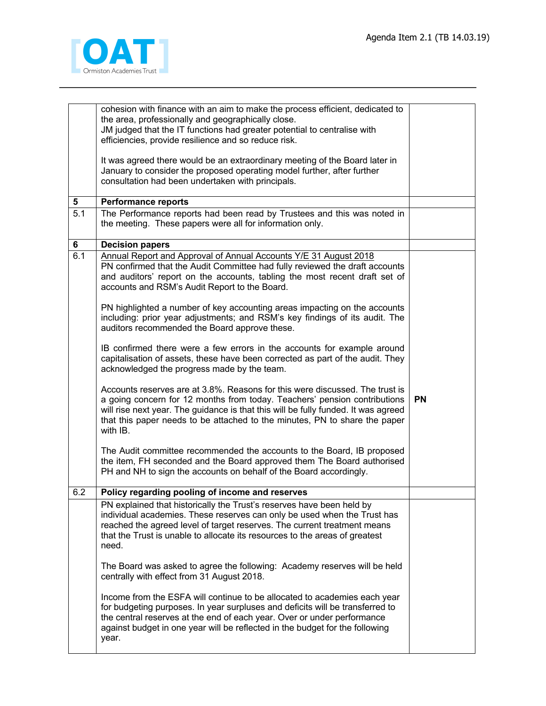

|                  | cohesion with finance with an aim to make the process efficient, dedicated to<br>the area, professionally and geographically close.<br>JM judged that the IT functions had greater potential to centralise with<br>efficiencies, provide resilience and so reduce risk.                                                                   |           |
|------------------|-------------------------------------------------------------------------------------------------------------------------------------------------------------------------------------------------------------------------------------------------------------------------------------------------------------------------------------------|-----------|
|                  | It was agreed there would be an extraordinary meeting of the Board later in<br>January to consider the proposed operating model further, after further<br>consultation had been undertaken with principals.                                                                                                                               |           |
| 5                | <b>Performance reports</b>                                                                                                                                                                                                                                                                                                                |           |
| $\overline{5.1}$ | The Performance reports had been read by Trustees and this was noted in<br>the meeting. These papers were all for information only.                                                                                                                                                                                                       |           |
| 6                | <b>Decision papers</b>                                                                                                                                                                                                                                                                                                                    |           |
| 6.1              | Annual Report and Approval of Annual Accounts Y/E 31 August 2018<br>PN confirmed that the Audit Committee had fully reviewed the draft accounts<br>and auditors' report on the accounts, tabling the most recent draft set of<br>accounts and RSM's Audit Report to the Board.                                                            |           |
|                  | PN highlighted a number of key accounting areas impacting on the accounts<br>including: prior year adjustments; and RSM's key findings of its audit. The<br>auditors recommended the Board approve these.                                                                                                                                 |           |
|                  | IB confirmed there were a few errors in the accounts for example around<br>capitalisation of assets, these have been corrected as part of the audit. They<br>acknowledged the progress made by the team.                                                                                                                                  |           |
|                  | Accounts reserves are at 3.8%. Reasons for this were discussed. The trust is<br>a going concern for 12 months from today. Teachers' pension contributions<br>will rise next year. The guidance is that this will be fully funded. It was agreed<br>that this paper needs to be attached to the minutes, PN to share the paper<br>with IB. | <b>PN</b> |
|                  | The Audit committee recommended the accounts to the Board, IB proposed<br>the item, FH seconded and the Board approved them The Board authorised<br>PH and NH to sign the accounts on behalf of the Board accordingly.                                                                                                                    |           |
| 6.2              | Policy regarding pooling of income and reserves                                                                                                                                                                                                                                                                                           |           |
|                  | PN explained that historically the Trust's reserves have been held by<br>individual academies. These reserves can only be used when the Trust has<br>reached the agreed level of target reserves. The current treatment means<br>that the Trust is unable to allocate its resources to the areas of greatest<br>need.                     |           |
|                  | The Board was asked to agree the following: Academy reserves will be held<br>centrally with effect from 31 August 2018.                                                                                                                                                                                                                   |           |
|                  | Income from the ESFA will continue to be allocated to academies each year<br>for budgeting purposes. In year surpluses and deficits will be transferred to<br>the central reserves at the end of each year. Over or under performance<br>against budget in one year will be reflected in the budget for the following<br>year.            |           |